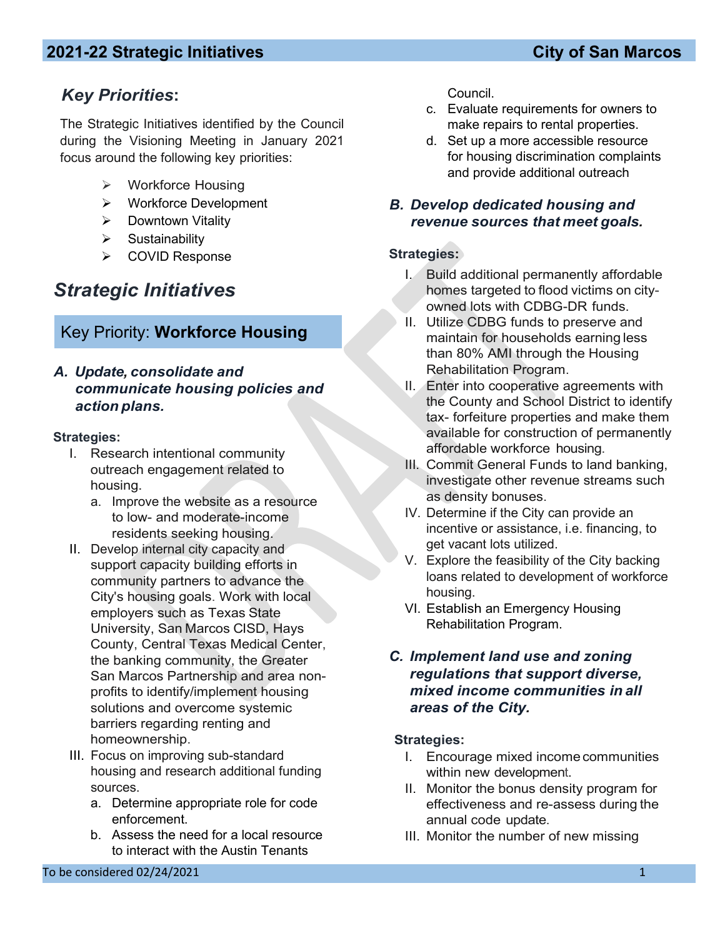## *Key Priorities***:**

The Strategic Initiatives identified by the Council during the Visioning Meeting in January 2021 focus around the following key priorities:

- **▶ Workforce Housing**
- **▶ Workforce Development**
- > Downtown Vitality
- $\triangleright$  Sustainability
- COVID Response

# *Strategic Initiatives*

## Key Priority: **Workforce Housing**

## *A. Update, consolidate and communicate housing policies and action plans.*

#### **Strategies:**

- I. Research intentional community outreach engagement related to housing.
	- a. Improve the website as a resource to low- and moderate-income residents seeking housing.
- II. Develop internal city capacity and support capacity building efforts in community partners to advance the City's housing goals. Work with local employers such as Texas State University, San Marcos CISD, Hays County, Central Texas Medical Center, the banking community, the Greater San Marcos Partnership and area nonprofits to identify/implement housing solutions and overcome systemic barriers regarding renting and homeownership.
- III. Focus on improving sub-standard housing and research additional funding sources.
	- a. Determine appropriate role for code enforcement.
	- b. Assess the need for a local resource to interact with the Austin Tenants

Council.

- c. Evaluate requirements for owners to make repairs to rental properties.
- d. Set up a more accessible resource for housing discrimination complaints and provide additional outreach

## *B. Develop dedicated housing and revenue sources that meet goals.*

## **Strategies:**

- I. Build additional permanently affordable homes targeted to flood victims on cityowned lots with CDBG-DR funds.
- II. Utilize CDBG funds to preserve and maintain for households earning less than 80% AMI through the Housing Rehabilitation Program.
- II. Enter into cooperative agreements with the County and School District to identify tax- forfeiture properties and make them available for construction of permanently affordable workforce housing.
- III. Commit General Funds to land banking, investigate other revenue streams such as density bonuses.
- IV. Determine if the City can provide an incentive or assistance, i.e. financing, to get vacant lots utilized.
- V. Explore the feasibility of the City backing loans related to development of workforce housing.
- VI. Establish an Emergency Housing Rehabilitation Program.

### *C. Implement land use and zoning regulations that support diverse, mixed income communities in all areas of the City.*

- I. Encourage mixed income communities within new development.
- II. Monitor the bonus density program for effectiveness and re-assess during the annual code update.
- III. Monitor the number of new missing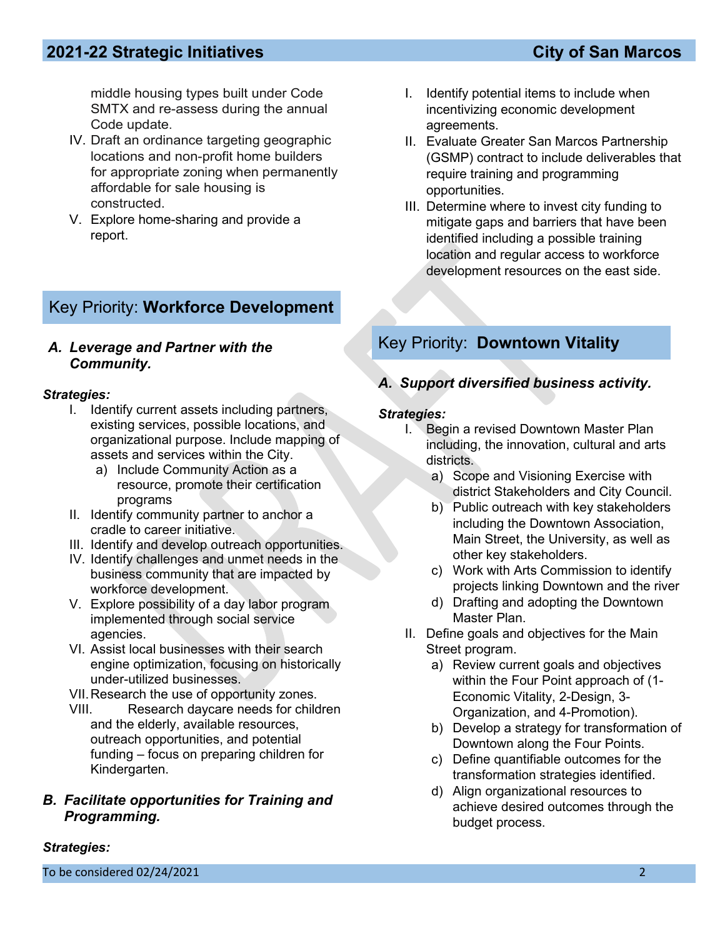## **2021-22 Strategic Initiatives City of San Marcos**

middle housing types built under Code SMTX and re-assess during the annual Code update.

- IV. Draft an ordinance targeting geographic locations and non-profit home builders for appropriate zoning when permanently affordable for sale housing is constructed.
- V. Explore home-sharing and provide a report.

## Key Priority: **Workforce Development**

#### *A. Leverage and Partner with the Community.*

#### *Strategies:*

- I. Identify current assets including partners, existing services, possible locations, and organizational purpose. Include mapping of assets and services within the City.
	- a) Include Community Action as a resource, promote their certification programs
- II. Identify community partner to anchor a cradle to career initiative.
- III. Identify and develop outreach opportunities.
- IV. Identify challenges and unmet needs in the business community that are impacted by workforce development.
- V. Explore possibility of a day labor program implemented through social service agencies.
- VI. Assist local businesses with their search engine optimization, focusing on historically under-utilized businesses.
- VII.Research the use of opportunity zones.
- VIII. Research daycare needs for children and the elderly, available resources, outreach opportunities, and potential funding – focus on preparing children for Kindergarten.

#### *B. Facilitate opportunities for Training and Programming.*

#### *Strategies:*

To be considered 02/24/2021  $\,$ 

- I. Identify potential items to include when incentivizing economic development agreements.
- II. Evaluate Greater San Marcos Partnership (GSMP) contract to include deliverables that require training and programming opportunities.
- III. Determine where to invest city funding to mitigate gaps and barriers that have been identified including a possible training location and regular access to workforce development resources on the east side.

# Key Priority: **Downtown Vitality**

### *A. Support diversified business activity.*

- I. Begin a revised Downtown Master Plan including, the innovation, cultural and arts districts.
	- a) Scope and Visioning Exercise with district Stakeholders and City Council.
	- b) Public outreach with key stakeholders including the Downtown Association, Main Street, the University, as well as other key stakeholders.
	- c) Work with Arts Commission to identify projects linking Downtown and the river
	- d) Drafting and adopting the Downtown Master Plan.
- II. Define goals and objectives for the Main Street program.
	- a) Review current goals and objectives within the Four Point approach of (1- Economic Vitality, 2-Design, 3- Organization, and 4-Promotion).
	- b) Develop a strategy for transformation of Downtown along the Four Points.
	- c) Define quantifiable outcomes for the transformation strategies identified.
	- d) Align organizational resources to achieve desired outcomes through the budget process.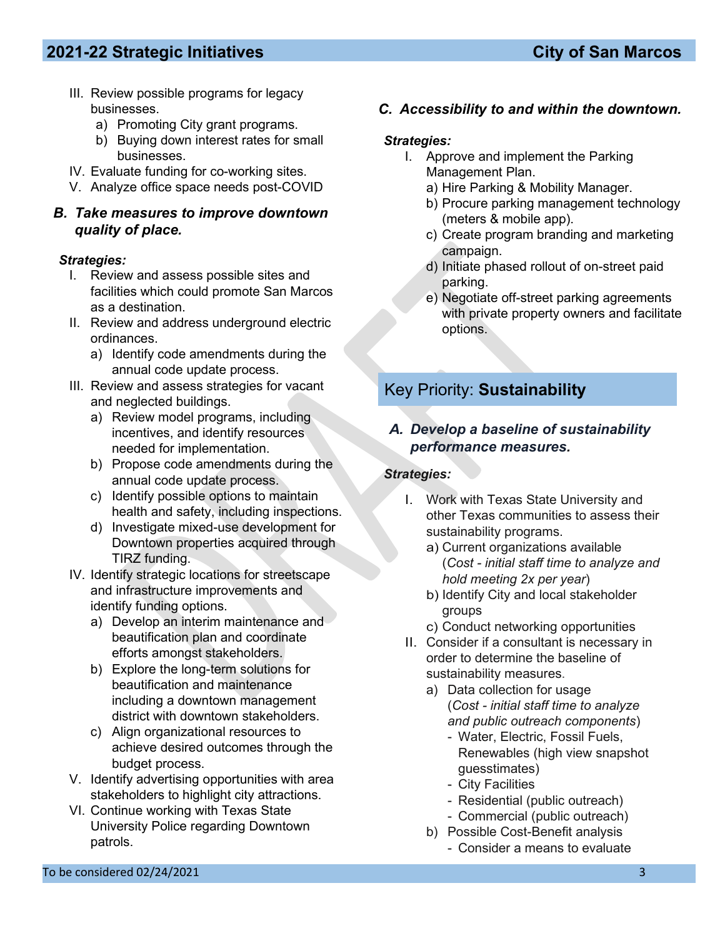## **2021-22 Strategic Initiatives City of San Marcos**

- III. Review possible programs for legacy businesses.
	- a) Promoting City grant programs.
	- b) Buying down interest rates for small businesses.
- IV. Evaluate funding for co-working sites.
- V. Analyze office space needs post-COVID

#### *B. Take measures to improve downtown quality of place.*

#### *Strategies:*

- I. Review and assess possible sites and facilities which could promote San Marcos as a destination.
- II. Review and address underground electric ordinances.
	- a) Identify code amendments during the annual code update process.
- III. Review and assess strategies for vacant and neglected buildings.
	- a) Review model programs, including incentives, and identify resources needed for implementation.
	- b) Propose code amendments during the annual code update process.
	- c) Identify possible options to maintain health and safety, including inspections.
	- d) Investigate mixed-use development for Downtown properties acquired through TIRZ funding.
- IV. Identify strategic locations for streetscape and infrastructure improvements and identify funding options.
	- a) Develop an interim maintenance and beautification plan and coordinate efforts amongst stakeholders.
	- b) Explore the long-term solutions for beautification and maintenance including a downtown management district with downtown stakeholders.
	- c) Align organizational resources to achieve desired outcomes through the budget process.
- V. Identify advertising opportunities with area stakeholders to highlight city attractions.
- VI. Continue working with Texas State University Police regarding Downtown patrols.

### *C. Accessibility to and within the downtown.*

#### *Strategies:*

- I. Approve and implement the Parking Management Plan.
	- a) Hire Parking & Mobility Manager.
	- b) Procure parking management technology (meters & mobile app).
	- c) Create program branding and marketing campaign.
	- d) Initiate phased rollout of on-street paid parking.
	- e) Negotiate off-street parking agreements with private property owners and facilitate options.

## Key Priority: **Sustainability**

#### *A. Develop a baseline of sustainability performance measures.*

- I. Work with Texas State University and other Texas communities to assess their sustainability programs.
	- a) Current organizations available (*Cost - initial staff time to analyze and hold meeting 2x per year*)
	- b) Identify City and local stakeholder groups
	- c) Conduct networking opportunities
- II. Consider if a consultant is necessary in order to determine the baseline of sustainability measures.
	- a) Data collection for usage (*Cost - initial staff time to analyze and public outreach components*)
		- Water, Electric, Fossil Fuels, Renewables (high view snapshot guesstimates)
		- City Facilities
		- Residential (public outreach)
		- Commercial (public outreach)
	- b) Possible Cost-Benefit analysis
		- Consider a means to evaluate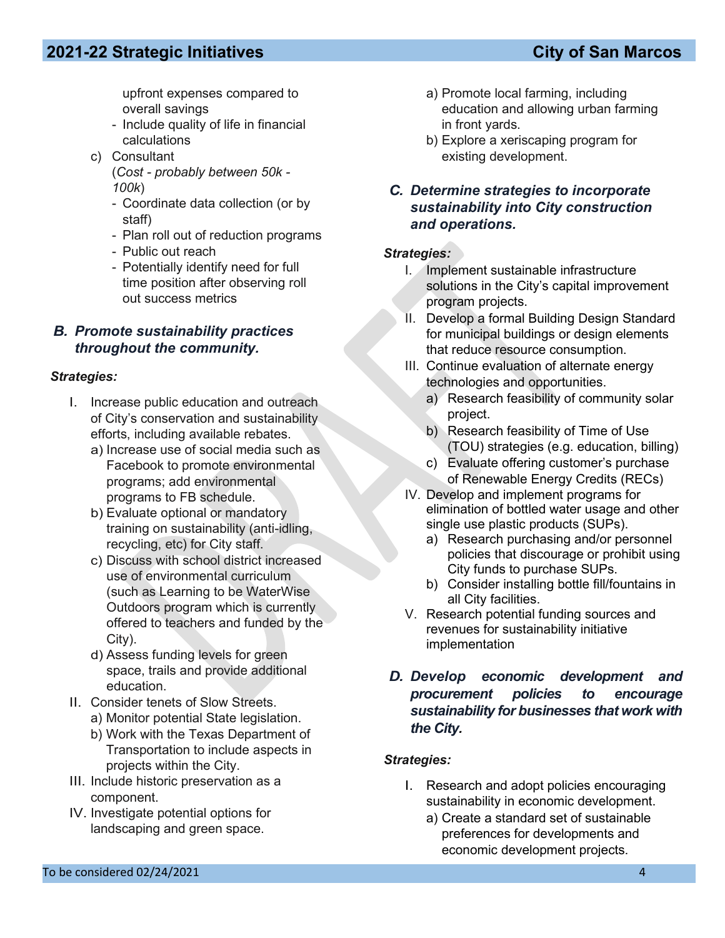upfront expenses compared to overall savings

- Include quality of life in financial calculations
- c) Consultant (*Cost - probably between 50k - 100k*)
	- Coordinate data collection (or by staff)
	- Plan roll out of reduction programs
	- Public out reach
	- Potentially identify need for full time position after observing roll out success metrics

### *B. Promote sustainability practices throughout the community.*

#### *Strategies:*

- I. Increase public education and outreach of City's conservation and sustainability efforts, including available rebates.
	- a) Increase use of social media such as Facebook to promote environmental programs; add environmental programs to FB schedule.
	- b) Evaluate optional or mandatory training on sustainability (anti-idling, recycling, etc) for City staff.
	- c) Discuss with school district increased use of environmental curriculum (such as Learning to be WaterWise Outdoors program which is currently offered to teachers and funded by the City).
	- d) Assess funding levels for green space, trails and provide additional education.
- II. Consider tenets of Slow Streets. a) Monitor potential State legislation.
	- b) Work with the Texas Department of
	- Transportation to include aspects in projects within the City.
- III. Include historic preservation as a component.
- IV. Investigate potential options for landscaping and green space.
- a) Promote local farming, including education and allowing urban farming in front yards.
- b) Explore a xeriscaping program for existing development.

### *C. Determine strategies to incorporate sustainability into City construction and operations.*

### *Strategies:*

- I. Implement sustainable infrastructure solutions in the City's capital improvement program projects.
- II. Develop a formal Building Design Standard for municipal buildings or design elements that reduce resource consumption.
- III. Continue evaluation of alternate energy technologies and opportunities.
	- a) Research feasibility of community solar project.
	- b) Research feasibility of Time of Use (TOU) strategies (e.g. education, billing)
	- c) Evaluate offering customer's purchase of Renewable Energy Credits (RECs)
- IV. Develop and implement programs for elimination of bottled water usage and other single use plastic products (SUPs).
	- a) Research purchasing and/or personnel policies that discourage or prohibit using City funds to purchase SUPs.
	- b) Consider installing bottle fill/fountains in all City facilities.
- V. Research potential funding sources and revenues for sustainability initiative implementation
- *D. Develop economic development and procurement policies to encourage sustainability for businesses that work with the City.*

- I. Research and adopt policies encouraging sustainability in economic development.
	- a) Create a standard set of sustainable preferences for developments and economic development projects.